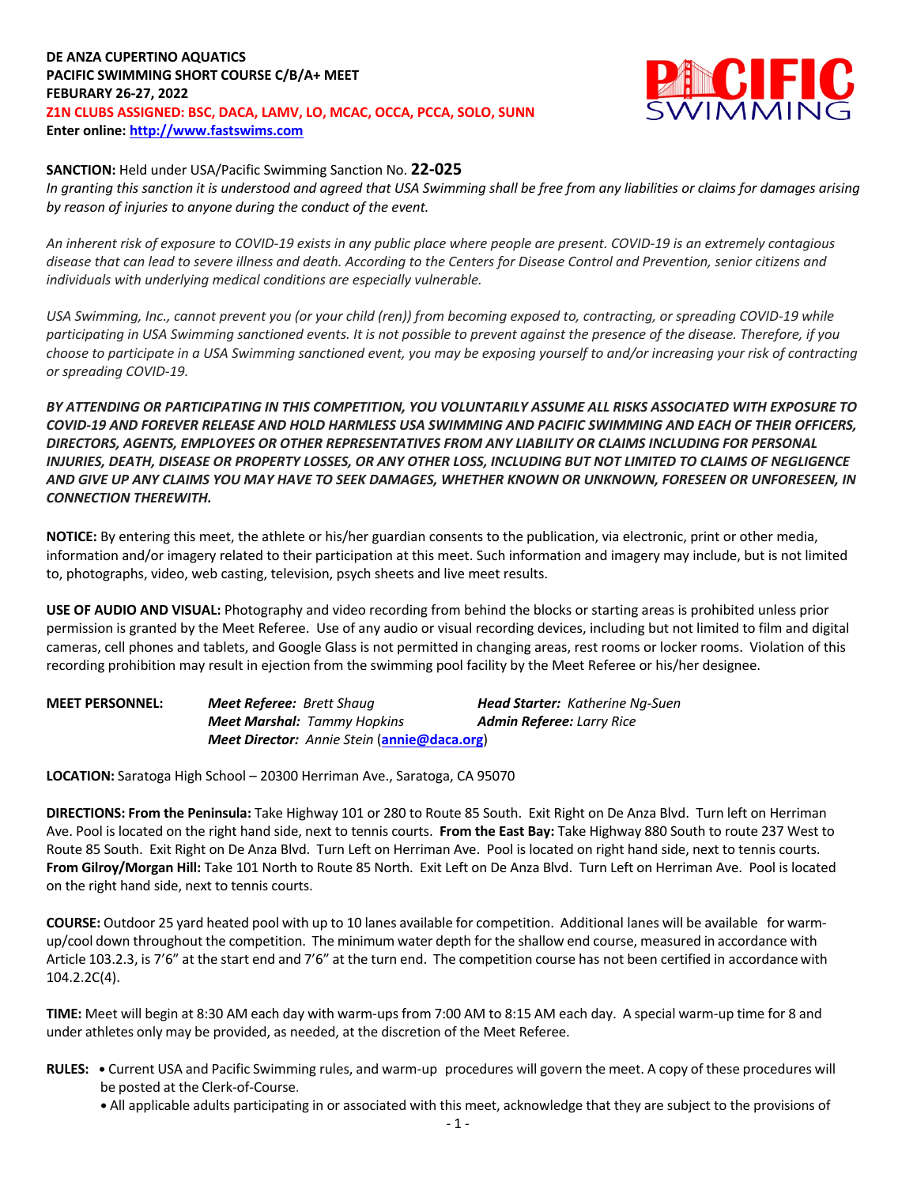# **DE ANZA CUPERTINO AQUATICS PACIFIC SWIMMING SHORT COURSE C/B/A+ MEET FEBURARY 26-27, 2022 Z1N CLUBS ASSIGNED: BSC, DACA, LAMV, LO, MCAC, OCCA, PCCA, SOLO, SUNN Enter online: http://www.fastswims.com**



#### **SANCTION:** Held under USA/Pacific Swimming Sanction No. **22-025**

*In granting this sanction it is understood and agreed that USA Swimming shall be free from any liabilities or claims for damages arising by reason of injuries to anyone during the conduct of the event.* 

*An inherent risk of exposure to COVID-19 exists in any public place where people are present. COVID-19 is an extremely contagious disease that can lead to severe illness and death. According to the Centers for Disease Control and Prevention, senior citizens and individuals with underlying medical conditions are especially vulnerable.*

*USA Swimming, Inc., cannot prevent you (or your child (ren)) from becoming exposed to, contracting, or spreading COVID-19 while participating in USA Swimming sanctioned events. It is not possible to prevent against the presence of the disease. Therefore, if you choose to participate in a USA Swimming sanctioned event, you may be exposing yourself to and/or increasing your risk of contracting or spreading COVID-19.*

*BY ATTENDING OR PARTICIPATING IN THIS COMPETITION, YOU VOLUNTARILY ASSUME ALL RISKS ASSOCIATED WITH EXPOSURE TO COVID-19 AND FOREVER RELEASE AND HOLD HARMLESS USA SWIMMING AND PACIFIC SWIMMING AND EACH OF THEIR OFFICERS, DIRECTORS, AGENTS, EMPLOYEES OR OTHER REPRESENTATIVES FROM ANY LIABILITY OR CLAIMS INCLUDING FOR PERSONAL INJURIES, DEATH, DISEASE OR PROPERTY LOSSES, OR ANY OTHER LOSS, INCLUDING BUT NOT LIMITED TO CLAIMS OF NEGLIGENCE AND GIVE UP ANY CLAIMS YOU MAY HAVE TO SEEK DAMAGES, WHETHER KNOWN OR UNKNOWN, FORESEEN OR UNFORESEEN, IN CONNECTION THEREWITH.*

**NOTICE:** By entering this meet, the athlete or his/her guardian consents to the publication, via electronic, print or other media, information and/or imagery related to their participation at this meet. Such information and imagery may include, but is not limited to, photographs, video, web casting, television, psych sheets and live meet results.

**USE OF AUDIO AND VISUAL:** Photography and video recording from behind the blocks or starting areas is prohibited unless prior permission is granted by the Meet Referee. Use of any audio or visual recording devices, including but not limited to film and digital cameras, cell phones and tablets, and Google Glass is not permitted in changing areas, rest rooms or locker rooms. Violation of this recording prohibition may result in ejection from the swimming pool facility by the Meet Referee or his/her designee.

| <b>MEET PERSONNEL:</b> | <b>Meet Referee:</b> Brett Shaug                            |  | <b>Head Starter:</b> Katherine Ng-Suen |  |  |
|------------------------|-------------------------------------------------------------|--|----------------------------------------|--|--|
|                        | <b>Meet Marshal:</b> Tammy Hopkins                          |  | <b>Admin Referee: Larry Rice</b>       |  |  |
|                        | <b>Meet Director:</b> Annie Stein ( <b>annie@daca.org</b> ) |  |                                        |  |  |

**LOCATION:** Saratoga High School – 20300 Herriman Ave., Saratoga, CA 95070

**DIRECTIONS: From the Peninsula:** Take Highway 101 or 280 to Route 85 South. Exit Right on De Anza Blvd. Turn left on Herriman Ave. Pool is located on the right hand side, next to tennis courts. **From the East Bay:** Take Highway 880 South to route 237 West to Route 85 South. Exit Right on De Anza Blvd. Turn Left on Herriman Ave. Pool is located on right hand side, next to tennis courts. **From Gilroy/Morgan Hill:** Take 101 North to Route 85 North. Exit Left on De Anza Blvd. Turn Left on Herriman Ave. Pool is located on the right hand side, next to tennis courts.

**COURSE:** Outdoor 25 yard heated pool with up to 10 lanes available for competition. Additional lanes will be available for warmup/cool down throughout the competition. The minimum water depth for the shallow end course, measured in accordance with Article 103.2.3, is 7'6" at the start end and 7'6" at the turn end. The competition course has not been certified in accordance with 104.2.2C(4).

**TIME:** Meet will begin at 8:30 AM each day with warm-ups from 7:00 AM to 8:15 AM each day. A special warm-up time for 8 and under athletes only may be provided, as needed, at the discretion of the Meet Referee.

- **RULES: •** Current USA and Pacific Swimming rules, and warm-up procedures will govern the meet. A copy of these procedures will be posted at the Clerk-of-Course.
	- **•** All applicable adults participating in or associated with this meet, acknowledge that they are subject to the provisions of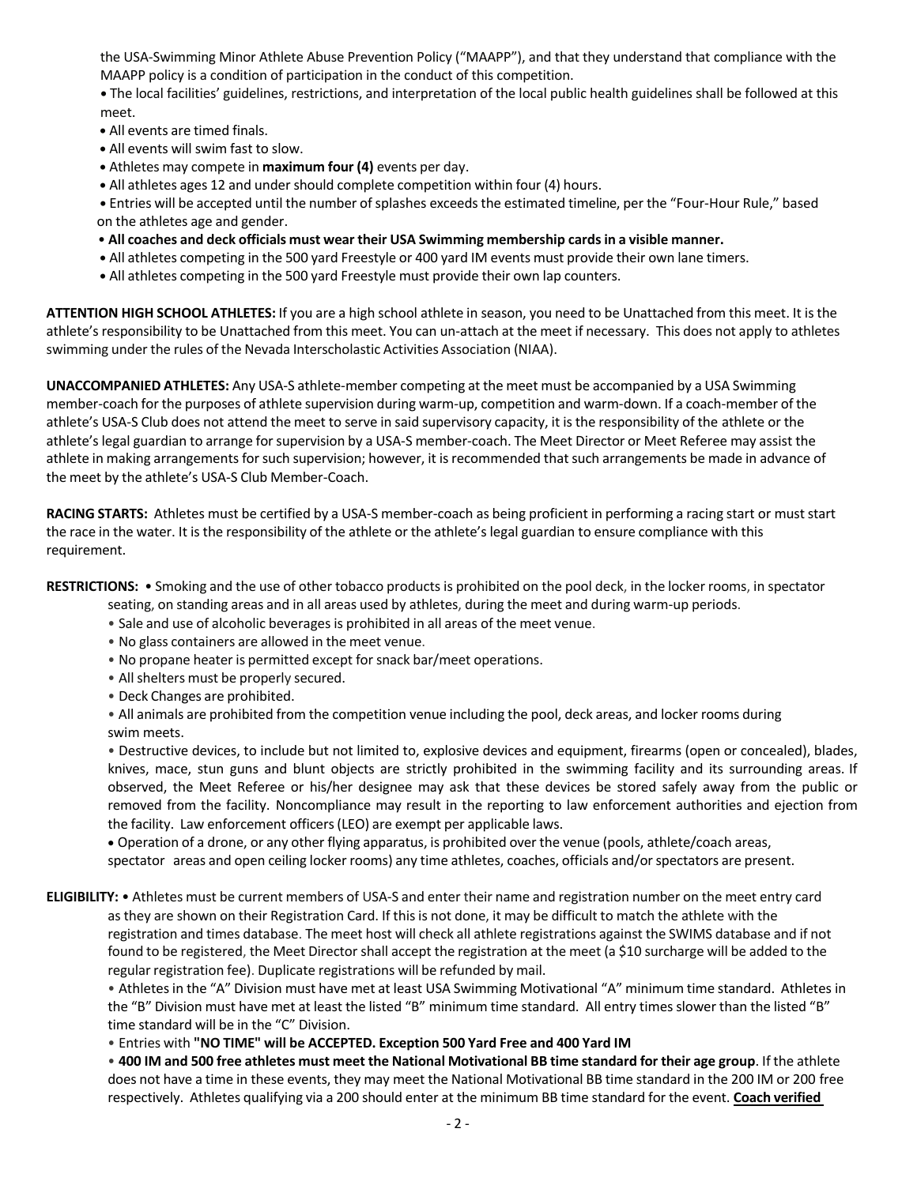the USA-Swimming Minor Athlete Abuse Prevention Policy ("MAAPP"), and that they understand that compliance with the MAAPP policy is a condition of participation in the conduct of this competition.

**•** The local facilities' guidelines, restrictions, and interpretation of the local public health guidelines shall be followed at this meet.

- All events are timed finals.
- All events will swim fast to slow.
- Athletes may compete in **maximum four (4)** events per day.
- All athletes ages 12 and under should complete competition within four (4) hours.

• Entries will be accepted until the number of splashes exceeds the estimated timeline, per the "Four-Hour Rule," based on the athletes age and gender.

- **All coaches and deck officials must wear their USA Swimming membership cardsin a visible manner.**
- All athletes competing in the 500 yard Freestyle or 400 yard IM events must provide their own lane timers.
- **•** All athletes competing in the 500 yard Freestyle must provide their own lap counters.

**ATTENTION HIGH SCHOOL ATHLETES:** If you are a high school athlete in season, you need to be Unattached from this meet. It isthe athlete's responsibility to be Unattached from this meet. You can un-attach at the meet if necessary. This does not apply to athletes swimming under the rules of the Nevada Interscholastic Activities Association (NIAA).

**UNACCOMPANIED ATHLETES:** Any USA-S athlete-member competing at the meet must be accompanied by a USA Swimming member-coach for the purposes of athlete supervision during warm-up, competition and warm-down. If a coach-member of the athlete's USA-S Club does not attend the meet to serve in said supervisory capacity, it is the responsibility of the athlete or the athlete's legal guardian to arrange for supervision by a USA-S member-coach. The Meet Director or Meet Referee may assist the athlete in making arrangements for such supervision; however, it is recommended that such arrangements be made in advance of the meet by the athlete's USA-S Club Member-Coach.

**RACING STARTS:** Athletes must be certified by a USA-S member-coach as being proficient in performing a racing start or muststart the race in the water. It is the responsibility of the athlete or the athlete's legal guardian to ensure compliance with this requirement.

**RESTRICTIONS:** • Smoking and the use of other tobacco products is prohibited on the pool deck, in the locker rooms, in spectator

seating, on standing areas and in all areas used by athletes, during the meet and during warm-up periods.

- Sale and use of alcoholic beveragesis prohibited in all areas of the meet venue.
- No glass containers are allowed in the meet venue.
- No propane heater is permitted except for snack bar/meet operations.
- All shelters must be properly secured.
- Deck Changes are prohibited.

• All animals are prohibited from the competition venue including the pool, deck areas, and locker rooms during swim meets.

• Destructive devices, to include but not limited to, explosive devices and equipment, firearms (open or concealed), blades, knives, mace, stun guns and blunt objects are strictly prohibited in the swimming facility and its surrounding areas. If observed, the Meet Referee or his/her designee may ask that these devices be stored safely away from the public or removed from the facility. Noncompliance may result in the reporting to law enforcement authorities and ejection from the facility. Law enforcement officers(LEO) are exempt per applicable laws.

• Operation of a drone, or any other flying apparatus, is prohibited over the venue (pools, athlete/coach areas,

spectator areas and open ceiling locker rooms) any time athletes, coaches, officials and/orspectators are present.

## **ELIGIBILITY:** • Athletes must be current members of USA-S and enter their name and registration number on the meet entry card as they are shown on their Registration Card. If this is not done, it may be difficult to match the athlete with the registration and times database. The meet host will check all athlete registrations against the SWIMS database and if not found to be registered, the Meet Director shall accept the registration at the meet (a \$10 surcharge will be added to the regular registration fee). Duplicate registrations will be refunded by mail.

• Athletesin the "A" Division must have met at least USA Swimming Motivational "A" minimum time standard. Athletes in the "B" Division must have met at least the listed "B" minimum time standard. All entry timesslower than the listed "B" time standard will be in the "C" Division.

• Entries with **"NO TIME" will be ACCEPTED. Exception 500 Yard Free and 400 Yard IM**

. 400 IM and 500 free athletes must meet the National Motivational BB time standard for their age group. If the athlete does not have a time in these events, they may meet the National Motivational BB time standard in the 200 IM or 200 free respectively. Athletes qualifying via a 200 should enter at the minimum BB time standard for the event. **Coach verified**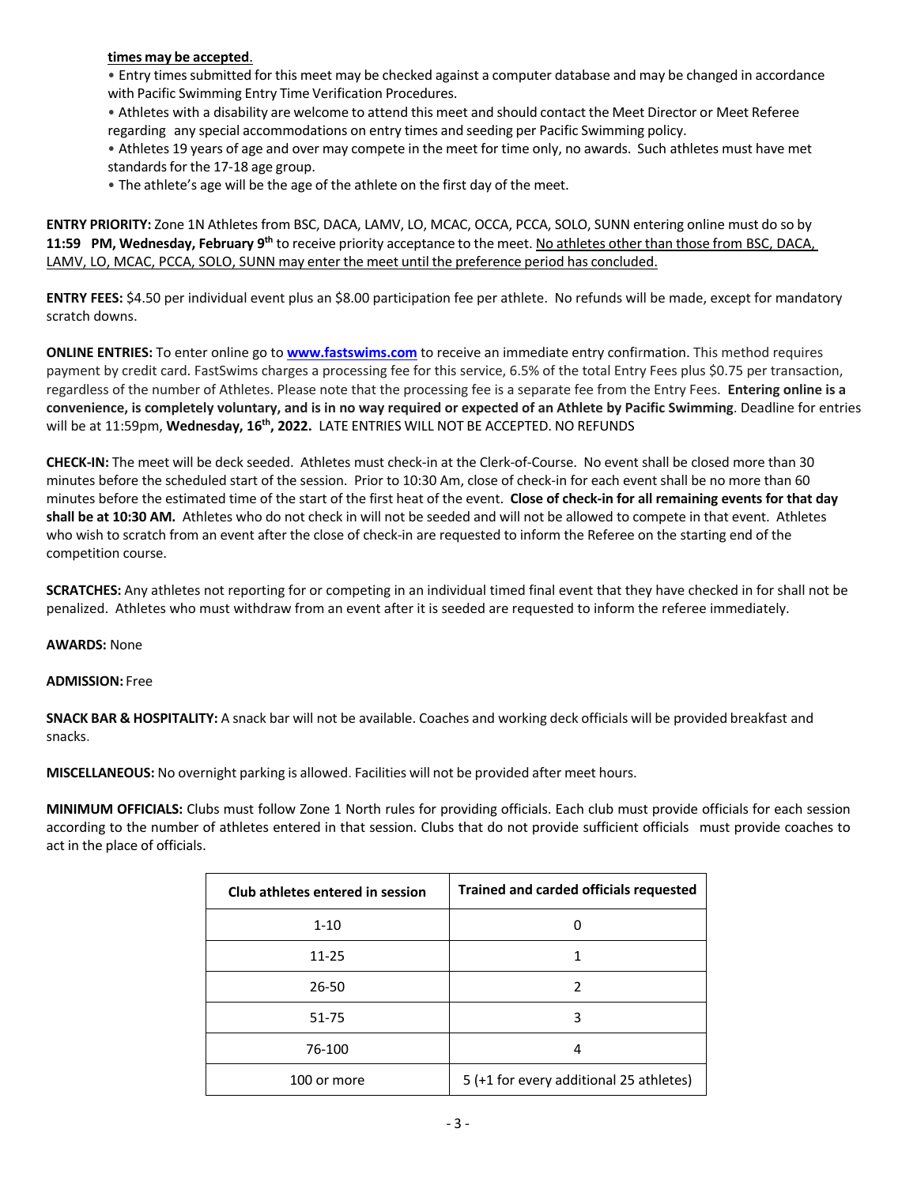### **times may be accepted**.

• Entry times submitted for this meet may be checked against a computer database and may be changed in accordance with Pacific Swimming Entry Time Verification Procedures.

• Athletes with a disability are welcome to attend this meet and should contact the Meet Director or Meet Referee regarding any special accommodations on entry times and seeding per Pacific Swimming policy.

• Athletes 19 years of age and over may compete in the meet for time only, no awards. Such athletes must have met standards for the 17-18 age group.

• The athlete's age will be the age of the athlete on the first day of the meet.

**ENTRY PRIORITY:** Zone 1N Athletes from BSC, DACA, LAMV, LO, MCAC, OCCA, PCCA, SOLO, SUNN entering online must do so by **11:59 PM, Wednesday, February 9th** to receive priority acceptance to the meet. No athletes other than those from BSC, DACA, LAMV, LO, MCAC, PCCA, SOLO, SUNN may enter the meet until the preference period has concluded.

**ENTRY FEES:** \$4.50 per individual event plus an \$8.00 participation fee per athlete. No refunds will be made, except for mandatory scratch downs.

**ONLINE ENTRIES:** To enter online go to **www.fastswims.com** to receive an immediate entry confirmation. This method requires payment by credit card. FastSwims charges a processing fee for this service, 6.5% of the total Entry Fees plus \$0.75 per transaction, regardless of the number of Athletes. Please note that the processing fee is a separate fee from the Entry Fees. **Entering online is a convenience, is completely voluntary, and is in no way required or expected of an Athlete by Pacific Swimming**. Deadline for entries will be at 11:59pm, **Wednesday, 16th, 2022.** LATE ENTRIES WILL NOT BE ACCEPTED. NO REFUNDS

**CHECK-IN:** The meet will be deck seeded. Athletes must check-in at the Clerk-of-Course. No event shall be closed more than 30 minutes before the scheduled start of the session. Prior to 10:30 Am, close of check-in for each event shall be no more than 60 minutes before the estimated time of the start of the first heat of the event. **Close of check-in for all remaining events for that day shall be at 10:30 AM.** Athletes who do not check in will not be seeded and will not be allowed to compete in that event. Athletes who wish to scratch from an event after the close of check-in are requested to inform the Referee on the starting end of the competition course.

**SCRATCHES:** Any athletes not reporting for or competing in an individual timed final event that they have checked in for shall not be penalized. Athletes who must withdraw from an event after it is seeded are requested to inform the referee immediately.

### **AWARDS:** None

#### **ADMISSION:** Free

**SNACK BAR & HOSPITALITY:** A snack bar will not be available. Coaches and working deck officials will be provided breakfast and snacks.

**MISCELLANEOUS:** No overnight parking is allowed. Facilities will not be provided after meet hours.

**MINIMUM OFFICIALS:** Clubs must follow Zone 1 North rules for providing officials. Each club must provide officials for each session according to the number of athletes entered in that session. Clubs that do not provide sufficient officials must provide coaches to act in the place of officials.

| Club athletes entered in session | <b>Trained and carded officials requested</b> |  |  |  |
|----------------------------------|-----------------------------------------------|--|--|--|
| $1 - 10$                         |                                               |  |  |  |
| 11-25                            |                                               |  |  |  |
| 26-50                            | 2                                             |  |  |  |
| 51-75                            | 3                                             |  |  |  |
| 76-100                           |                                               |  |  |  |
| 100 or more                      | 5 (+1 for every additional 25 athletes)       |  |  |  |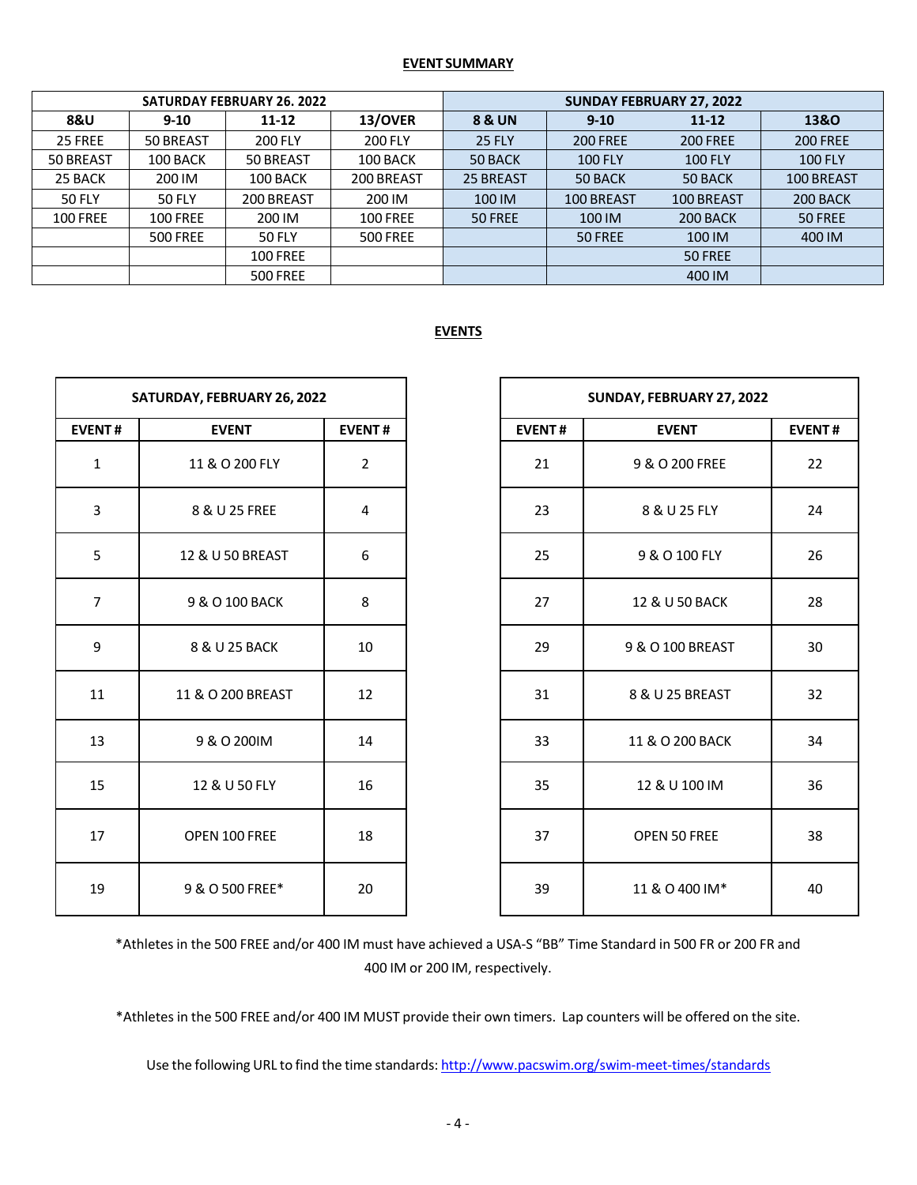### **EVENT SUMMARY**

| <b>SATURDAY FEBRUARY 26, 2022</b> |                 |                 |                 | <b>SUNDAY FEBRUARY 27, 2022</b> |                 |                 |                 |  |
|-----------------------------------|-----------------|-----------------|-----------------|---------------------------------|-----------------|-----------------|-----------------|--|
| <b>8&amp;U</b>                    | $9 - 10$        | $11 - 12$       | 13/OVER         | 8 & UN                          | $9 - 10$        | $11 - 12$       | 13&0            |  |
| 25 FREE                           | 50 BREAST       | 200 FLY         | <b>200 FLY</b>  | <b>25 FLY</b>                   | <b>200 FREE</b> | <b>200 FREE</b> | <b>200 FREE</b> |  |
| 50 BREAST                         | 100 BACK        | 50 BREAST       | 100 BACK        | 50 BACK                         | <b>100 FLY</b>  | <b>100 FLY</b>  | <b>100 FLY</b>  |  |
| 25 BACK                           | 200 IM          | 100 BACK        | 200 BREAST      | 25 BREAST                       | 50 BACK         | 50 BACK         | 100 BREAST      |  |
| <b>50 FLY</b>                     | <b>50 FLY</b>   | 200 BREAST      | 200 IM          | 100 IM                          | 100 BREAST      | 100 BREAST      | 200 BACK        |  |
| <b>100 FREE</b>                   | <b>100 FREE</b> | 200 IM          | <b>100 FREE</b> | 50 FREE                         | 100 IM          | 200 BACK        | 50 FREE         |  |
|                                   | <b>500 FREE</b> | <b>50 FLY</b>   | <b>500 FREE</b> |                                 | 50 FREE         | 100 IM          | 400 IM          |  |
|                                   |                 | <b>100 FREE</b> |                 |                                 |                 | 50 FREE         |                 |  |
|                                   |                 | <b>500 FREE</b> |                 |                                 |                 | 400 IM          |                 |  |

## **EVENTS**

| SATURDAY, FEBRUARY 26, 2022 |                   |                |  |  |  |
|-----------------------------|-------------------|----------------|--|--|--|
| <b>EVENT#</b>               | <b>EVENT</b>      | <b>EVENT#</b>  |  |  |  |
| $\mathbf{1}$                | 11 & O 200 FLY    | $\overline{2}$ |  |  |  |
| 3                           | 8 & U 25 FREE     | 4              |  |  |  |
| 5                           | 12 & U 50 BREAST  | 6              |  |  |  |
| 7                           | 9 & O 100 BACK    | 8              |  |  |  |
| 9                           | 8 & U 25 BACK     | 10             |  |  |  |
| 11                          | 11 & O 200 BREAST | 12             |  |  |  |
| 13                          | 9 & O 200IM       | 14             |  |  |  |
| 15                          | 12 & U 50 FLY     | 16             |  |  |  |
| 17                          | OPEN 100 FREE     | 18             |  |  |  |
| 19                          | 9 & O 500 FREE*   | 20             |  |  |  |

| SUNDAY, FEBRUARY 27, 2022 |                  |               |  |  |  |
|---------------------------|------------------|---------------|--|--|--|
| <b>EVENT#</b>             | <b>EVENT</b>     | <b>EVENT#</b> |  |  |  |
| 21                        | 9 & O 200 FREE   | 22            |  |  |  |
| 23                        | 8 & U 25 FLY     | 24            |  |  |  |
| 25                        | 9 & O 100 FLY    | 26            |  |  |  |
| 27                        | 12 & U 50 BACK   | 28            |  |  |  |
| 29                        | 9 & O 100 BREAST | 30            |  |  |  |
| 31                        | 8 & U 25 BREAST  | 32            |  |  |  |
| 33                        | 11 & O 200 BACK  | 34            |  |  |  |
| 35                        | 12 & U 100 IM    | 36            |  |  |  |
| 37                        | OPEN 50 FREE     | 38            |  |  |  |
| 39                        | 11 & O 400 IM*   | 40            |  |  |  |

\*Athletesin the 500 FREE and/or 400 IM must have achieved a USA-S "BB" Time Standard in 500 FR or 200 FR and IM or 200 IM, respectively.

\*Athletesin the 500 FREE and/or 400 IM MUST provide their own timers. Lap counters will be offered on the site.

Use the following URL to find the time standards: http://www.pacswim.org/swim-meet-times/standards